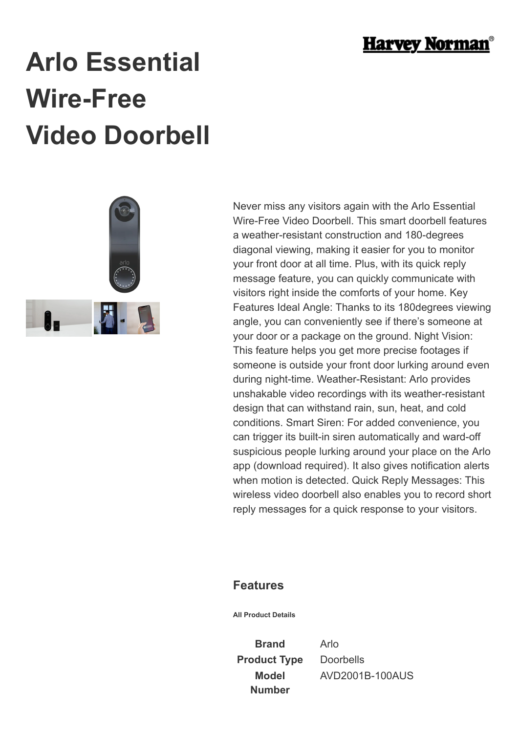

## **Arlo Essential Wire-Free Video Doorbell**



Never miss any visitors again with the Arlo Essential Wire-Free Video Doorbell. This smart doorbell features a weather-resistant construction and 180-degrees diagonal viewing, making it easier for you to monitor your front door at all time. Plus, with its quick reply message feature, you can quickly communicate with visitors right inside the comforts of your home. Key Features Ideal Angle: Thanks to its 180degrees viewing angle, you can conveniently see if there's someone at your door or a package on the ground. Night Vision: This feature helps you get more precise footages if someone is outside your front door lurking around even during night-time. Weather-Resistant: Arlo provides unshakable video recordings with its weather-resistant design that can withstand rain, sun, heat, and cold conditions. Smart Siren: For added convenience, you can trigger its built-in siren automatically and ward-off suspicious people lurking around your place on the Arlo app (download required). It also gives notification alerts when motion is detected. Quick Reply Messages: This wireless video doorbell also enables you to record short reply messages for a quick response to your visitors.

## **Features**

**All Product Details**

**Brand** Arlo **Product Type** Doorbells **Model Number**

AVD2001B-100AUS